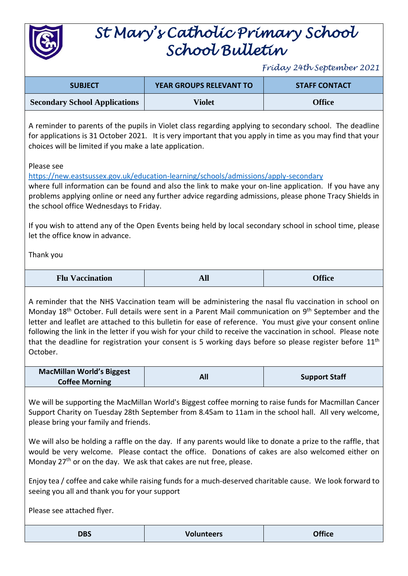

## *St Mary's Catholic Primary School School Bulletin*

*Friday 24th September 2021*

| <b>SUBJECT</b>                       | <b>YEAR GROUPS RELEVANT TO</b> | <b>STAFF CONTACT</b> |
|--------------------------------------|--------------------------------|----------------------|
| <b>Secondary School Applications</b> | Violet                         | <b>Office</b>        |

A reminder to parents of the pupils in Violet class regarding applying to secondary school. The deadline for applications is 31 October 2021. It is very important that you apply in time as you may find that your choices will be limited if you make a late application.

Please see

<https://new.eastsussex.gov.uk/education-learning/schools/admissions/apply-secondary>

where full information can be found and also the link to make your on-line application. If you have any problems applying online or need any further advice regarding admissions, please phone Tracy Shields in the school office Wednesdays to Friday.

If you wish to attend any of the Open Events being held by local secondary school in school time, please let the office know in advance.

Thank you

| <b>Flu Vaccination</b> | All | <b>Office</b> |
|------------------------|-----|---------------|
|------------------------|-----|---------------|

A reminder that the NHS Vaccination team will be administering the nasal flu vaccination in school on Monday 18<sup>th</sup> October. Full details were sent in a Parent Mail communication on 9<sup>th</sup> September and the letter and leaflet are attached to this bulletin for ease of reference. You must give your consent online following the link in the letter if you wish for your child to receive the vaccination in school. Please note that the deadline for registration your consent is 5 working days before so please register before  $11<sup>th</sup>$ October.

| <b>MacMillan World's Biggest</b> |     |                      |
|----------------------------------|-----|----------------------|
| <b>Coffee Morning</b>            | All | <b>Support Staff</b> |

We will be supporting the MacMillan World's Biggest coffee morning to raise funds for Macmillan Cancer Support Charity on Tuesday 28th September from 8.45am to 11am in the school hall. All very welcome, please bring your family and friends.

We will also be holding a raffle on the day. If any parents would like to donate a prize to the raffle, that would be very welcome. Please contact the office. Donations of cakes are also welcomed either on Monday 27<sup>th</sup> or on the day. We ask that cakes are nut free, please.

Enjoy tea / coffee and cake while raising funds for a much-deserved charitable cause. We look forward to seeing you all and thank you for your support

Please see attached flyer.

| <b>DBS</b> | <b>Volunteers</b> | <b>Office</b> |
|------------|-------------------|---------------|
|            |                   |               |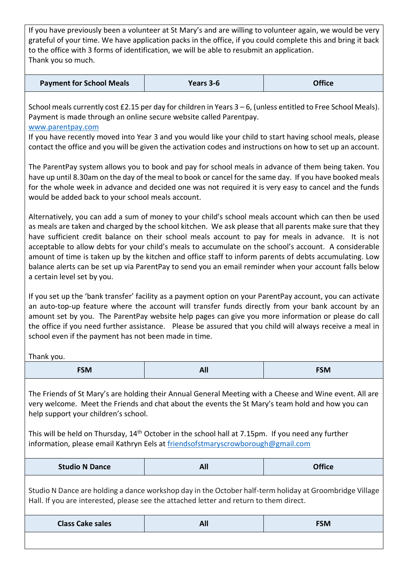If you have previously been a volunteer at St Mary's and are willing to volunteer again, we would be very grateful of your time. We have application packs in the office, if you could complete this and bring it back to the office with 3 forms of identification, we will be able to resubmit an application. Thank you so much.

| <b>Payment for School Meals</b> | Years 3-6 | <b>Office</b> |
|---------------------------------|-----------|---------------|
|                                 |           |               |

School meals currently cost £2.15 per day for children in Years 3 – 6, (unless entitled to Free School Meals). Payment is made through an online secure website called Parentpay.

## [www.parentpay.com](http://www.parentpay.com/)

If you have recently moved into Year 3 and you would like your child to start having school meals, please contact the office and you will be given the activation codes and instructions on how to set up an account.

The ParentPay system allows you to book and pay for school meals in advance of them being taken. You have up until 8.30am on the day of the meal to book or cancel for the same day. If you have booked meals for the whole week in advance and decided one was not required it is very easy to cancel and the funds would be added back to your school meals account.

Alternatively, you can add a sum of money to your child's school meals account which can then be used as meals are taken and charged by the school kitchen. We ask please that all parents make sure that they have sufficient credit balance on their school meals account to pay for meals in advance. It is not acceptable to allow debts for your child's meals to accumulate on the school's account. A considerable amount of time is taken up by the kitchen and office staff to inform parents of debts accumulating. Low balance alerts can be set up via ParentPay to send you an email reminder when your account falls below a certain level set by you.

If you set up the 'bank transfer' facility as a payment option on your ParentPay account, you can activate an auto-top-up feature where the account will transfer funds directly from your bank account by an amount set by you. The ParentPay website help pages can give you more information or please do call the office if you need further assistance. Please be assured that you child will always receive a meal in school even if the payment has not been made in time.

Thank you.

| $- - - -$<br>----- | <b>1000</b> | ----<br><b>DIVI</b><br>----- |
|--------------------|-------------|------------------------------|
|                    |             |                              |

The Friends of St Mary's are holding their Annual General Meeting with a Cheese and Wine event. All are very welcome. Meet the Friends and chat about the events the St Mary's team hold and how you can help support your children's school.

This will be held on Thursday, 14<sup>th</sup> October in the school hall at 7.15pm. If you need any further information, please email Kathryn Eels at [friendsofstmaryscrowborough@gmail.com](mailto:friendsofstmaryscrowborough@gmail.com)

| <b>Studio N Dance</b> | .<br>Al. | <b>Office</b> |
|-----------------------|----------|---------------|
|-----------------------|----------|---------------|

Studio N Dance are holding a dance workshop day in the October half-term holiday at Groombridge Village Hall. If you are interested, please see the attached letter and return to them direct.

| <b>Class Cake sales</b> | -11<br>- --- | FSM |
|-------------------------|--------------|-----|
|                         |              |     |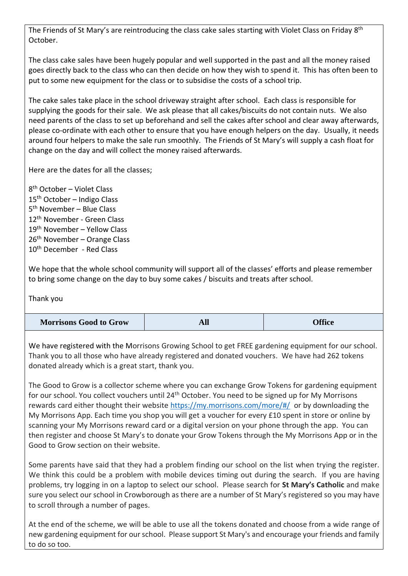The Friends of St Mary's are reintroducing the class cake sales starting with Violet Class on Friday 8<sup>th</sup> October.

The class cake sales have been hugely popular and well supported in the past and all the money raised goes directly back to the class who can then decide on how they wish to spend it. This has often been to put to some new equipment for the class or to subsidise the costs of a school trip.

The cake sales take place in the school driveway straight after school. Each class is responsible for supplying the goods for their sale. We ask please that all cakes/biscuits do not contain nuts. We also need parents of the class to set up beforehand and sell the cakes after school and clear away afterwards, please co-ordinate with each other to ensure that you have enough helpers on the day. Usually, it needs around four helpers to make the sale run smoothly. The Friends of St Mary's will supply a cash float for change on the day and will collect the money raised afterwards.

Here are the dates for all the classes;

8 th October – Violet Class 15th October – Indigo Class 5 th November – Blue Class 12<sup>th</sup> November - Green Class 19th November – Yellow Class 26<sup>th</sup> November – Orange Class 10<sup>th</sup> December - Red Class

We hope that the whole school community will support all of the classes' efforts and please remember to bring some change on the day to buy some cakes / biscuits and treats after school.

Thank you

| <b>Morrisons Good to Grow</b> | <b>стіт</b> | <b>Office</b> |
|-------------------------------|-------------|---------------|
|-------------------------------|-------------|---------------|

We have registered with the Morrisons Growing School to get FREE gardening equipment for our school. Thank you to all those who have already registered and donated vouchers. We have had 262 tokens donated already which is a great start, thank you.

The Good to Grow is a collector scheme where you can exchange Grow Tokens for gardening equipment for our school. You collect vouchers until 24<sup>th</sup> October. You need to be signed up for My Morrisons rewards card either thought their website<https://my.morrisons.com/more/#/>or by downloading the My Morrisons App. Each time you shop you will get a voucher for every £10 spent in store or online by scanning your My Morrisons reward card or a digital version on your phone through the app. You can then register and choose St Mary's to donate your Grow Tokens through the My Morrisons App or in the Good to Grow section on their website.

Some parents have said that they had a problem finding our school on the list when trying the register. We think this could be a problem with mobile devices timing out during the search. If you are having problems, try logging in on a laptop to select our school. Please search for **St Mary's Catholic** and make sure you select our school in Crowborough as there are a number of St Mary's registered so you may have to scroll through a number of pages.

At the end of the scheme, we will be able to use all the tokens donated and choose from a wide range of new gardening equipment for our school. Please support St Mary's and encourage your friends and family to do so too.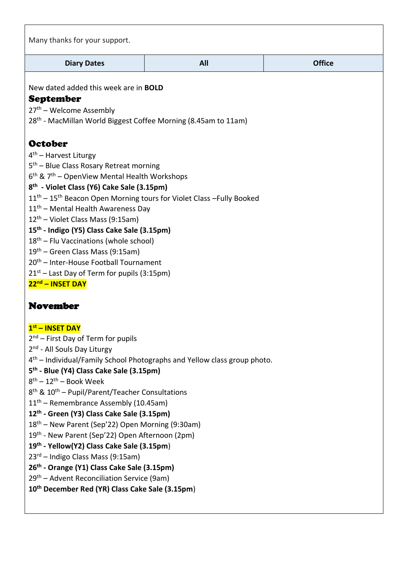| Many thanks for your support.                                                                                                                                                                                                                                                                                                                                                                                                                                                                                                                                                                                                                                                                                                                                                                   |                                                                                      |               |
|-------------------------------------------------------------------------------------------------------------------------------------------------------------------------------------------------------------------------------------------------------------------------------------------------------------------------------------------------------------------------------------------------------------------------------------------------------------------------------------------------------------------------------------------------------------------------------------------------------------------------------------------------------------------------------------------------------------------------------------------------------------------------------------------------|--------------------------------------------------------------------------------------|---------------|
| <b>Diary Dates</b>                                                                                                                                                                                                                                                                                                                                                                                                                                                                                                                                                                                                                                                                                                                                                                              | All                                                                                  | <b>Office</b> |
| New dated added this week are in <b>BOLD</b><br><b>September</b><br>27 <sup>th</sup> – Welcome Assembly<br>28 <sup>th</sup> - MacMillan World Biggest Coffee Morning (8.45am to 11am)                                                                                                                                                                                                                                                                                                                                                                                                                                                                                                                                                                                                           |                                                                                      |               |
| <b>October</b><br>$4th$ – Harvest Liturgy<br>5 <sup>th</sup> – Blue Class Rosary Retreat morning<br>$6th$ & $7th$ – OpenView Mental Health Workshops<br>8 <sup>th</sup> - Violet Class (Y6) Cake Sale (3.15pm)<br>$11th - 15th$ Beacon Open Morning tours for Violet Class -Fully Booked<br>11 <sup>th</sup> - Mental Health Awareness Day<br>$12th$ – Violet Class Mass (9:15am)<br>15 <sup>th</sup> - Indigo (Y5) Class Cake Sale (3.15pm)<br>18 <sup>th</sup> – Flu Vaccinations (whole school)<br>$19th$ – Green Class Mass (9:15am)<br>20 <sup>th</sup> - Inter-House Football Tournament<br>21 <sup>st</sup> – Last Day of Term for pupils (3:15pm)<br>22 <sup>nd</sup> - INSET DAY                                                                                                       |                                                                                      |               |
| <b>November</b><br>1st - INSET DAY<br>$2nd$ – First Day of Term for pupils<br>2 <sup>nd</sup> - All Souls Day Liturgy<br>5 <sup>th</sup> - Blue (Y4) Class Cake Sale (3.15pm)<br>$8th - 12th - Book Week$<br>8 <sup>th</sup> & 10 <sup>th</sup> – Pupil/Parent/Teacher Consultations<br>$11th$ – Remembrance Assembly (10.45am)<br>12 <sup>th</sup> - Green (Y3) Class Cake Sale (3.15pm)<br>18 <sup>th</sup> – New Parent (Sep'22) Open Morning (9:30am)<br>19 <sup>th</sup> - New Parent (Sep'22) Open Afternoon (2pm)<br>19th - Yellow(Y2) Class Cake Sale (3.15pm)<br>23rd - Indigo Class Mass (9:15am)<br>26 <sup>th</sup> - Orange (Y1) Class Cake Sale (3.15pm)<br>29 <sup>th</sup> – Advent Reconciliation Service (9am)<br>10 <sup>th</sup> December Red (YR) Class Cake Sale (3.15pm) | 4 <sup>th</sup> – Individual/Family School Photographs and Yellow class group photo. |               |